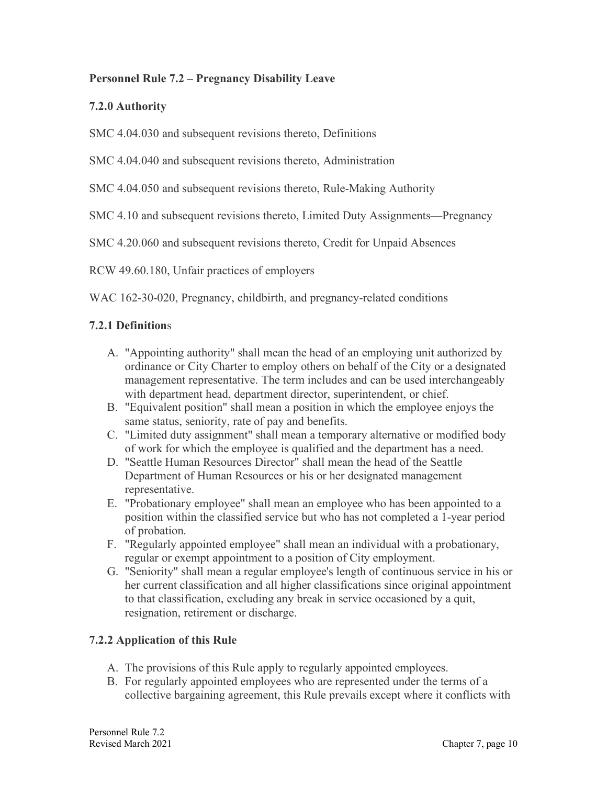### **Personnel Rule 7.2 – Pregnancy Disability Leave**

## **7.2.0 Authority**

SMC 4.04.030 and subsequent revisions thereto, Definitions

SMC 4.04.040 and subsequent revisions thereto, Administration

SMC 4.04.050 and subsequent revisions thereto, Rule-Making Authority

SMC 4.10 and subsequent revisions thereto, Limited Duty Assignments—Pregnancy

SMC 4.20.060 and subsequent revisions thereto, Credit for Unpaid Absences

RCW 49.60.180, Unfair practices of employers

WAC 162-30-020, Pregnancy, childbirth, and pregnancy-related conditions

### **7.2.1 Definition**s

- A. "Appointing authority" shall mean the head of an employing unit authorized by ordinance or City Charter to employ others on behalf of the City or a designated management representative. The term includes and can be used interchangeably with department head, department director, superintendent, or chief.
- B. "Equivalent position" shall mean a position in which the employee enjoys the same status, seniority, rate of pay and benefits.
- C. "Limited duty assignment" shall mean a temporary alternative or modified body of work for which the employee is qualified and the department has a need.
- D. "Seattle Human Resources Director" shall mean the head of the Seattle Department of Human Resources or his or her designated management representative.
- E. "Probationary employee" shall mean an employee who has been appointed to a position within the classified service but who has not completed a 1-year period of probation.
- F. "Regularly appointed employee" shall mean an individual with a probationary, regular or exempt appointment to a position of City employment.
- G. "Seniority" shall mean a regular employee's length of continuous service in his or her current classification and all higher classifications since original appointment to that classification, excluding any break in service occasioned by a quit, resignation, retirement or discharge.

# **7.2.2 Application of this Rule**

- A. The provisions of this Rule apply to regularly appointed employees.
- B. For regularly appointed employees who are represented under the terms of a collective bargaining agreement, this Rule prevails except where it conflicts with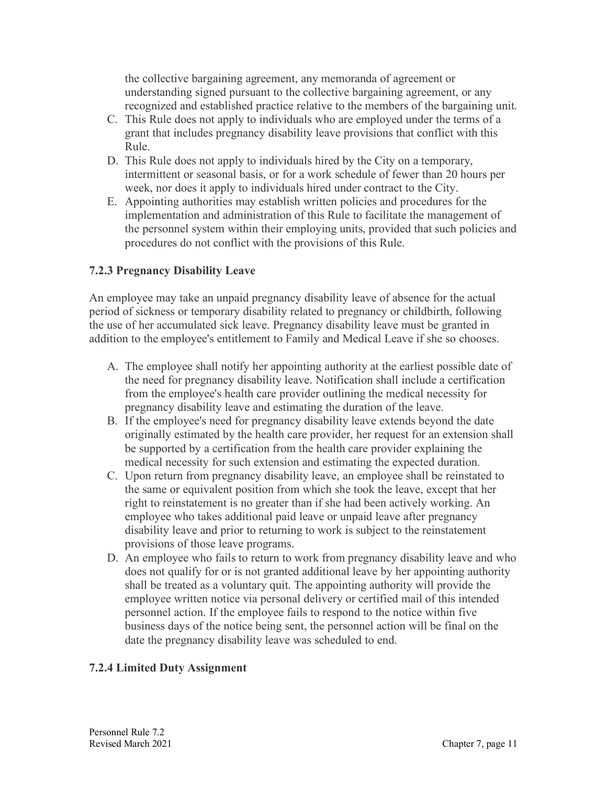the collective bargaining agreement, any memoranda of agreement or understanding signed pursuant to the collective bargaining agreement, or any recognized and established practice relative to the members of the bargaining unit.

- C. This Rule does not apply to individuals who are employed under the terms of a grant that includes pregnancy disability leave provisions that conflict with this Rule.
- D. This Rule does not apply to individuals hired by the City on a temporary, intermittent or seasonal basis, or for a work schedule of fewer than 20 hours per week, nor does it apply to individuals hired under contract to the City.
- E. Appointing authorities may establish written policies and procedures for the implementation and administration of this Rule to facilitate the management of the personnel system within their employing units, provided that such policies and procedures do not conflict with the provisions of this Rule.

### **7.2.3 Pregnancy Disability Leave**

An employee may take an unpaid pregnancy disability leave of absence for the actual period of sickness or temporary disability related to pregnancy or childbirth, following the use of her accumulated sick leave. Pregnancy disability leave must be granted in addition to the employee's entitlement to Family and Medical Leave if she so chooses.

- A. The employee shall notify her appointing authority at the earliest possible date of the need for pregnancy disability leave. Notification shall include a certification from the employee's health care provider outlining the medical necessity for pregnancy disability leave and estimating the duration of the leave.
- B. If the employee's need for pregnancy disability leave extends beyond the date originally estimated by the health care provider, her request for an extension shall be supported by a certification from the health care provider explaining the medical necessity for such extension and estimating the expected duration.
- C. Upon return from pregnancy disability leave, an employee shall be reinstated to the same or equivalent position from which she took the leave, except that her right to reinstatement is no greater than if she had been actively working. An employee who takes additional paid leave or unpaid leave after pregnancy disability leave and prior to returning to work is subject to the reinstatement provisions of those leave programs.
- D. An employee who fails to return to work from pregnancy disability leave and who does not qualify for or is not granted additional leave by her appointing authority shall be treated as a voluntary quit. The appointing authority will provide the employee written notice via personal delivery or certified mail of this intended personnel action. If the employee fails to respond to the notice within five business days of the notice being sent, the personnel action will be final on the date the pregnancy disability leave was scheduled to end.

#### **7.2.4 Limited Duty Assignment**